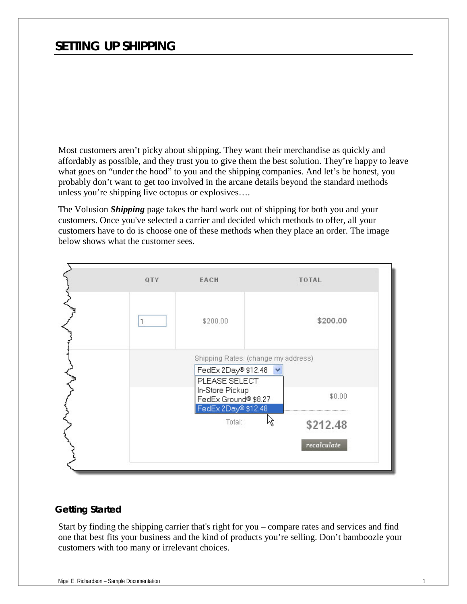# *SETTING UP SHIPPING*

Most customers aren't picky about shipping. They want their merchandise as quickly and affordably as possible, and they trust you to give them the best solution. They're happy to leave what goes on "under the hood" to you and the shipping companies. And let's be honest, you probably don't want to get too involved in the arcane details beyond the standard methods unless you're shipping live octopus or explosives….

The Volusion *Shipping* page takes the hard work out of shipping for both you and your customers. Once you've selected a carrier and decided which methods to offer, all your customers have to do is choose one of these methods when they place an order. The image below shows what the customer sees.



#### *Getting Started*

Start by finding the shipping carrier that's right for you – compare rates and services and find one that best fits your business and the kind of products you're selling. Don't bamboozle your customers with too many or irrelevant choices.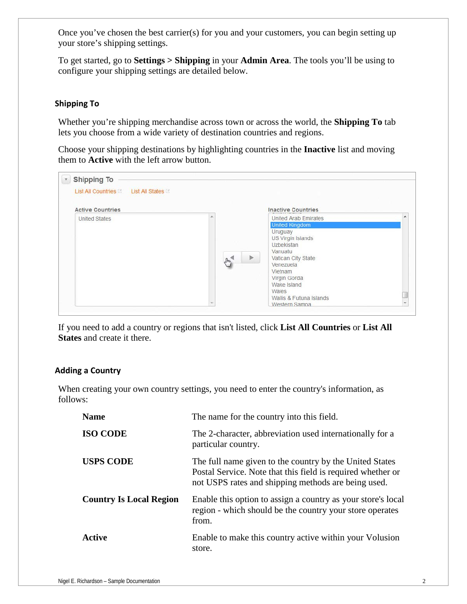Once you've chosen the best carrier(s) for you and your customers, you can begin setting up your store's shipping settings.

To get started, go to **Settings > Shipping** in your **Admin Area**. The tools you'll be using to configure your shipping settings are detailed below.

# **Shipping To**

Whether you're shipping merchandise across town or across the world, the **Shipping To** tab lets you choose from a wide variety of destination countries and regions.

Choose your shipping destinations by highlighting countries in the **Inactive** list and moving them to **Active** with the left arrow button.

| List All Countries Later List All States<br><b>Active Countries</b> |                     | <b>Inactive Countries</b>                                                                                                                                                                                                                                      |  |
|---------------------------------------------------------------------|---------------------|----------------------------------------------------------------------------------------------------------------------------------------------------------------------------------------------------------------------------------------------------------------|--|
| <b>United States</b>                                                | $\sqrt{h_{\gamma}}$ | <b>United Arab Emirates</b><br><b>United Kingdom</b><br>Uruguay<br>US Virgin Islands<br><b>Uzbekistan</b><br>Vanuatu<br>$\blacktriangleright$<br>Vatican City State<br>Venezuela<br>Vietnam<br>Virgin Gorda<br>Wake Island<br>Wales<br>Wallis & Futuna Islands |  |

If you need to add a country or regions that isn't listed, click **List All Countries** or **List All States** and create it there.

# **Adding a Country**

When creating your own country settings, you need to enter the country's information, as follows:

| <b>Name</b>                    | The name for the country into this field.                                                                                                                                     |
|--------------------------------|-------------------------------------------------------------------------------------------------------------------------------------------------------------------------------|
| <b>ISO CODE</b>                | The 2-character, abbreviation used internationally for a<br>particular country.                                                                                               |
| <b>USPS CODE</b>               | The full name given to the country by the United States<br>Postal Service. Note that this field is required whether or<br>not USPS rates and shipping methods are being used. |
| <b>Country Is Local Region</b> | Enable this option to assign a country as your store's local<br>region - which should be the country your store operates<br>from.                                             |
| Active                         | Enable to make this country active within your Volusion<br>store.                                                                                                             |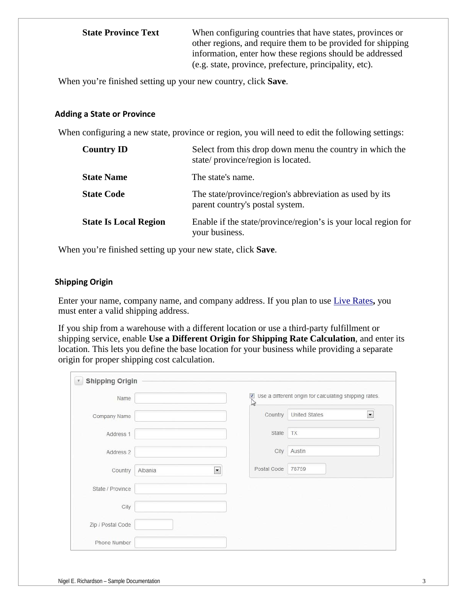**State Province Text** When configuring countries that have states, provinces or other regions, and require them to be provided for shipping information, enter how these regions should be addressed (e.g. state, province, prefecture, principality, etc).

When you're finished setting up your new country, click **Save**.

#### **Adding a State or Province**

When configuring a new state, province or region, you will need to edit the following settings:

| <b>Country ID</b>            | Select from this drop down menu the country in which the<br>state/province/region is located. |
|------------------------------|-----------------------------------------------------------------------------------------------|
| <b>State Name</b>            | The state's name.                                                                             |
| <b>State Code</b>            | The state/province/region's abbreviation as used by its<br>parent country's postal system.    |
| <b>State Is Local Region</b> | Enable if the state/province/region's is your local region for<br>your business.              |

When you're finished setting up your new state, click **Save**.

#### **Shipping Origin**

Enter your name, company name, and company address. If you plan to use Live Rates**,** you must enter a valid shipping address.

If you ship from a warehouse with a different location or use a third-party fulfillment or shipping service, enable **Use a Different Origin for Shipping Rate Calculation**, and enter its location. This lets you define the base location for your business while providing a separate origin for proper shipping cost calculation.

| Name              |         |                          |             | $\boxtimes$ Use a different origin for calculating shipping rates. |                          |
|-------------------|---------|--------------------------|-------------|--------------------------------------------------------------------|--------------------------|
| Company Name      |         |                          | Country     | United States                                                      | $\overline{\phantom{a}}$ |
| Address 1         |         |                          | State       | TX                                                                 |                          |
| Address 2         |         |                          | City        | Austin                                                             |                          |
| Country           | Albania | $\overline{\phantom{0}}$ | Postal Code | 78759                                                              |                          |
| State / Province  |         |                          |             |                                                                    |                          |
| City              |         |                          |             |                                                                    |                          |
| Zip / Postal Code |         |                          |             |                                                                    |                          |
| Phone Number      |         |                          |             |                                                                    |                          |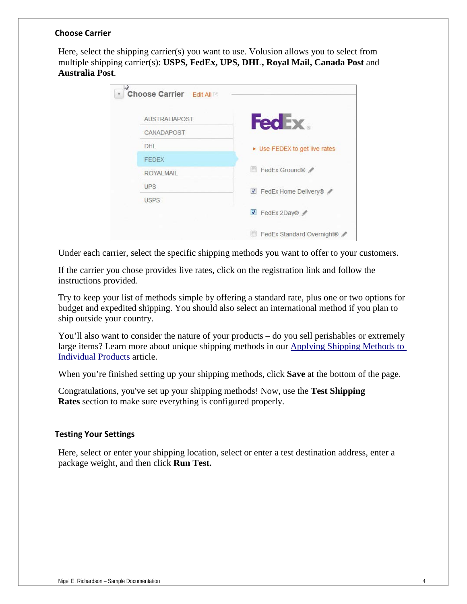# **Choose Carrier**

Here, select the shipping carrier(s) you want to use. Volusion allows you to select from multiple shipping carrier(s): **USPS, FedEx, UPS, DHL, Royal Mail, Canada Post** and **Australia Post**.

| <b>AUSTRALIAPOST</b> | <b>FedEx</b>                  |
|----------------------|-------------------------------|
| CANADAPOST           |                               |
| DHL                  | ▶ Use FEDEX to get live rates |
| <b>FEDEX</b>         |                               |
| <b>ROYALMAIL</b>     | FedEx Ground®                 |
| <b>UPS</b>           | FedEx Home Delivery®          |
| <b>USPS</b>          |                               |
|                      | FedEx 2Day®                   |

Under each carrier, select the specific shipping methods you want to offer to your customers.

If the carrier you chose provides live rates, click on the registration link and follow the instructions provided.

Try to keep your list of methods simple by offering a standard rate, plus one or two options for budget and expedited shipping. You should also select an international method if you plan to ship outside your country.

You'll also want to consider the nature of your products – do you sell perishables or extremely large items? Learn more about unique shipping methods in our [Applying Shipping Methods to](http://support.volusion.com/article/applying-shipping-methods-specific-products)  [Individual Products](http://support.volusion.com/article/applying-shipping-methods-specific-products) article.

When you're finished setting up your shipping methods, click **Save** at the bottom of the page.

Congratulations, you've set up your shipping methods! Now, use the **Test Shipping Rates** section to make sure everything is configured properly.

#### **Testing Your Settings**

Here, select or enter your shipping location, select or enter a test destination address, enter a package weight, and then click **Run Test.**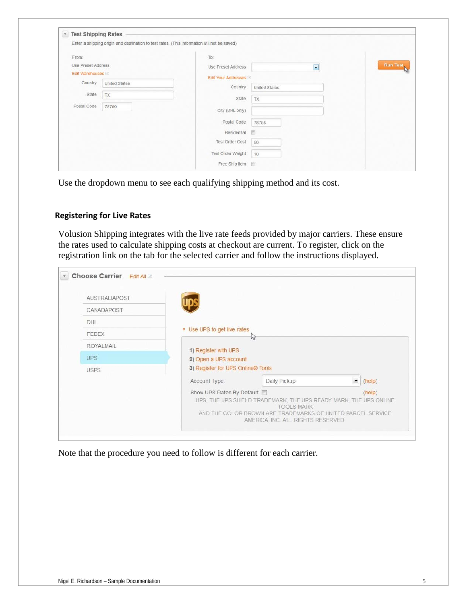|                           | Enter a shipping origin and destination to test rates. (This information will not be saved) |                     |                          |          |
|---------------------------|---------------------------------------------------------------------------------------------|---------------------|--------------------------|----------|
| From:                     |                                                                                             | To:                 |                          |          |
| <b>Use Preset Address</b> |                                                                                             | Use Preset Address  | $\overline{\phantom{0}}$ | Run Test |
| Edit Warehouses           |                                                                                             | Edit Your Addresses |                          |          |
| Country                   | <b>United States</b>                                                                        | Country             | United States            |          |
| State                     | TX                                                                                          | State               |                          |          |
| Postal Code               | 78759                                                                                       |                     | TX.                      |          |
|                           |                                                                                             | City (DHL only)     |                          |          |
|                           |                                                                                             | Postal Code         | 78758                    |          |
|                           |                                                                                             | Residential         | 同                        |          |
|                           |                                                                                             | Test Order Cost     | 50                       |          |
|                           |                                                                                             | Test Order Weight   | 10                       |          |

Use the dropdown menu to see each qualifying shipping method and its cost.

#### **Registering for Live Rates**

Volusion Shipping integrates with the live rate feeds provided by major carriers. These ensure the rates used to calculate shipping costs at checkout are current. To register, click on the registration link on the tab for the selected carrier and follow the instructions displayed.

| AUSTRALIAPOST    |                                   |                                                                                                                                                                                             |           |        |
|------------------|-----------------------------------|---------------------------------------------------------------------------------------------------------------------------------------------------------------------------------------------|-----------|--------|
| CANADAPOST       |                                   |                                                                                                                                                                                             |           |        |
| DHL              |                                   |                                                                                                                                                                                             |           |        |
| FEDEX            | • Use UPS to get live rates       | 47                                                                                                                                                                                          |           |        |
| <b>ROYALMAIL</b> | 1) Register with UPS              |                                                                                                                                                                                             |           |        |
| <b>UPS</b>       | 2) Open a UPS account             |                                                                                                                                                                                             |           |        |
| USPS             | 3) Register for UPS Online® Tools |                                                                                                                                                                                             |           |        |
|                  | Account Type:                     | Daily Pickup                                                                                                                                                                                | $\bullet$ | (help) |
|                  | Show UPS Rates By Default: 0      | UPS, THE UPS SHIELD TRADEMARK, THE UPS READY MARK, THE UPS ONLINE<br><b>TOOLS MARK</b><br>AND THE COLOR BROWN ARE TRADEMARKS OF UNITED PARCEL SERVICE<br>AMERICA, INC. ALL RIGHTS RESERVED. |           | (help) |

Note that the procedure you need to follow is different for each carrier.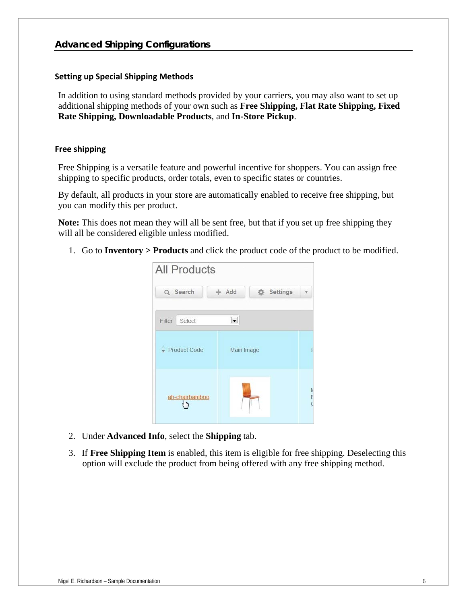#### **Setting up Special Shipping Methods**

In addition to using standard methods provided by your carriers, you may also want to set up additional shipping methods of your own such as **Free Shipping, Flat Rate Shipping, Fixed Rate Shipping, Downloadable Products**, and **In-Store Pickup**.

#### **Free shipping**

Free Shipping is a versatile feature and powerful incentive for shoppers. You can assign free shipping to specific products, order totals, even to specific states or countries.

By default, all products in your store are automatically enabled to receive free shipping, but you can modify this per product.

**Note:** This does not mean they will all be sent free, but that if you set up free shipping they will all be considered eligible unless modified.

1. Go to **Inventory > Products** and click the product code of the product to be modified.

| <b>All Products</b>   |                          |                   |  |
|-----------------------|--------------------------|-------------------|--|
| Q Search              | $+$ Add                  | <b>卷 Settings</b> |  |
| Select<br>Filter      | $\overline{\phantom{a}}$ |                   |  |
| Product Code          | Main Image               |                   |  |
| ah-chairbamboo<br>վեր |                          |                   |  |

- 2. Under **Advanced Info**, select the **Shipping** tab.
- 3. If **Free Shipping Item** is enabled, this item is eligible for free shipping. Deselecting this option will exclude the product from being offered with any free shipping method.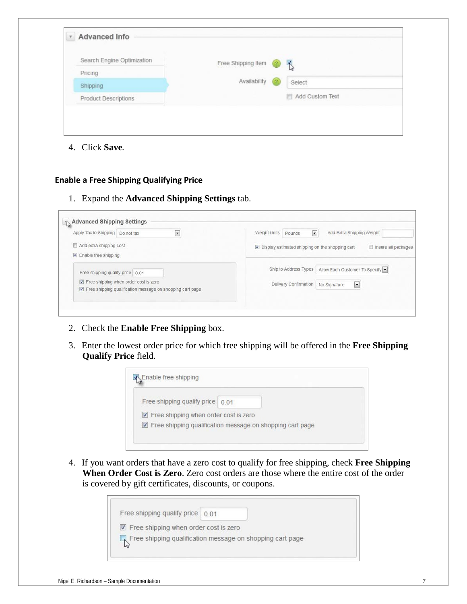| Search Engine Optimization  | Free Shipping Item<br>$\frac{1}{2}$<br>$\circled{2}$ |  |
|-----------------------------|------------------------------------------------------|--|
| Pricing                     |                                                      |  |
| Shipping                    | Availability<br>(2<br>Select                         |  |
| <b>Product Descriptions</b> | Add Custom Text                                      |  |

4. Click **Save***.*

# **Enable a Free Shipping Qualifying Price**

1. Expand the **Advanced Shipping Settings** tab.

| Apply Tax to Shipping Do not tax<br>×.                                                             | Weight Units<br>Add Extra Shipping Weight<br>Pounds<br>$\overline{ }$                  |
|----------------------------------------------------------------------------------------------------|----------------------------------------------------------------------------------------|
| Add extra shipping cost<br>$\triangledown$ Enable free shipping                                    | $\triangledown$ Display estimated shipping on the shopping cart<br>Insure all packages |
| Free shipping qualify price 0.01                                                                   | Allow Each Customer To Specify<br>Ship to Address Types                                |
| Free shipping when order cost is zero<br>Free shipping qualification message on shopping cart page | Delivery Confirmation<br>$\overline{\phantom{a}}$<br>No Signature                      |

- 2. Check the **Enable Free Shipping** box.
- 3. Enter the lowest order price for which free shipping will be offered in the **Free Shipping Qualify Price** field.



4. If you want orders that have a zero cost to qualify for free shipping, check **Free Shipping When Order Cost is Zero**. Zero cost orders are those where the entire cost of the order is covered by gift certificates, discounts, or coupons.

| Free shipping qualify price   0.01                        |  |  |
|-----------------------------------------------------------|--|--|
| Free shipping when order cost is zero                     |  |  |
| Free shipping qualification message on shopping cart page |  |  |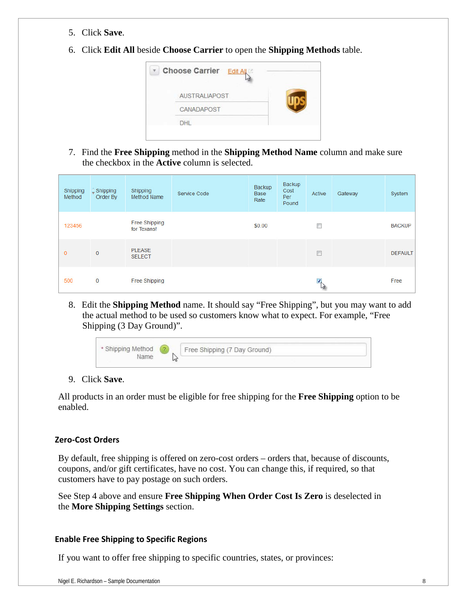- 5. Click **Save**.
- 6. Click **Edit All** beside **Choose Carrier** to open the **Shipping Methods** table.



7. Find the **Free Shipping** method in the **Shipping Method Name** column and make sure the checkbox in the **Active** column is selected.

| Shipping<br>Method | $\sqrt{\ }$ Shipping<br>Order By | Shipping<br><b>Method Name</b> | Service Code | Backup<br><b>Base</b><br>Rate | Backup<br>Cost<br>Per<br>Pound | Active                    | Gateway | System         |
|--------------------|----------------------------------|--------------------------------|--------------|-------------------------------|--------------------------------|---------------------------|---------|----------------|
| 123456             |                                  | Free Shipping<br>for Texans!   |              | \$0.00                        |                                | $\Box$                    |         | <b>BACKUP</b>  |
| $\mathbf{0}$       | $\overline{0}$                   | <b>PLEASE</b><br><b>SELECT</b> |              |                               |                                | $\Box$                    |         | <b>DEFAULT</b> |
| 500                | 0                                | Free Shipping                  |              |                               |                                | $\blacktriangledown$<br>W |         | Free           |

8. Edit the **Shipping Method** name. It should say "Free Shipping", but you may want to add the actual method to be used so customers know what to expect. For example, "Free Shipping (3 Day Ground)".



9. Click **Save**.

All products in an order must be eligible for free shipping for the **Free Shipping** option to be enabled.

# **Zero-Cost Orders**

By default, free shipping is offered on zero-cost orders – orders that, because of discounts, coupons, and/or gift certificates, have no cost. You can change this, if required, so that customers have to pay postage on such orders.

See Step 4 above and ensure **Free Shipping When Order Cost Is Zero** is deselected in the **More Shipping Settings** section.

# **Enable Free Shipping to Specific Regions**

If you want to offer free shipping to specific countries, states, or provinces: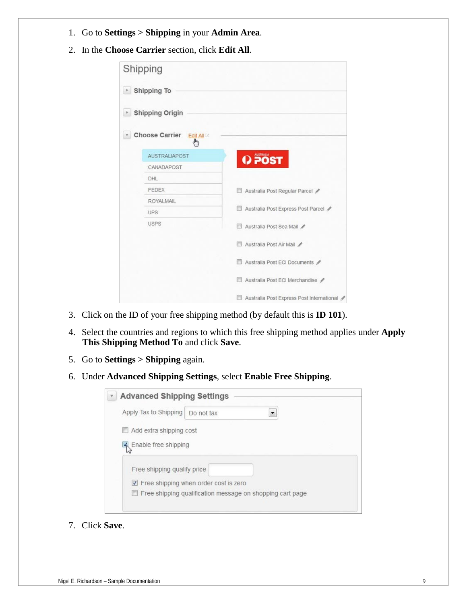- 1. Go to **Settings > Shipping** in your **Admin Area**.
- 2. In the **Choose Carrier** section, click **Edit All**.

| Shipping                                                                          |                                           |
|-----------------------------------------------------------------------------------|-------------------------------------------|
| <b>Shipping To</b>                                                                |                                           |
| <b>Shipping Origin</b>                                                            |                                           |
| <b>Choose Carrier</b><br>Edit All <sup>[2]</sup><br>$\mathbf{v}$<br>$\frac{1}{2}$ |                                           |
| <b>AUSTRALIAPOST</b>                                                              | Q POST                                    |
| CANADAPOST                                                                        |                                           |
| DHL                                                                               |                                           |
| <b>FEDEX</b>                                                                      | Australia Post Regular Parcel<br>ET.      |
| <b>ROYALMAIL</b>                                                                  |                                           |
| <b>UPS</b>                                                                        | Australia Post Express Post Parcel        |
| <b>USPS</b>                                                                       | Australia Post Sea Mail                   |
|                                                                                   | Australia Post Air Mail                   |
|                                                                                   | Australia Post ECI Documents              |
|                                                                                   | Australia Post ECI Merchandise            |
|                                                                                   | Australia Post Express Post International |

- 3. Click on the ID of your free shipping method (by default this is **ID 101**).
- 4. Select the countries and regions to which this free shipping method applies under **Apply This Shipping Method To** and click **Save**.
- 5. Go to **Settings > Shipping** again.
- 6. Under **Advanced Shipping Settings**, select **Enable Free Shipping**.

|                             | <b>Advanced Shipping Settings</b>     |  |
|-----------------------------|---------------------------------------|--|
| Apply Tax to Shipping       | Do not tax                            |  |
| Add extra shipping cost     |                                       |  |
| R Enable free shipping      |                                       |  |
|                             |                                       |  |
|                             |                                       |  |
| Free shipping qualify price |                                       |  |
|                             | Free shipping when order cost is zero |  |

7. Click **Save**.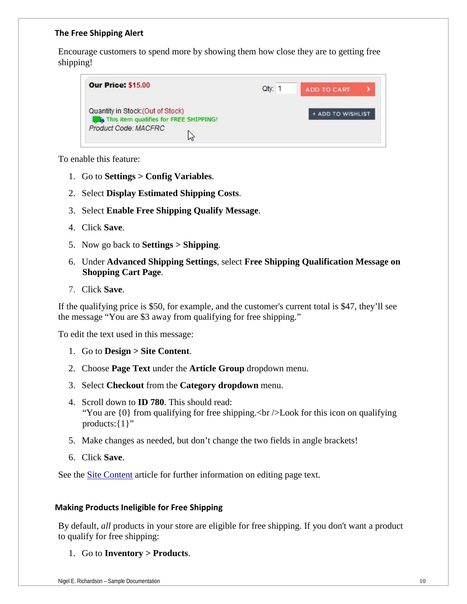#### **The Free Shipping Alert**

Encourage customers to spend more by showing them how close they are to getting free shipping!



To enable this feature:

- 1. Go to **Settings > Config Variables**.
- 2. Select **Display Estimated Shipping Costs**.
- 3. Select **Enable Free Shipping Qualify Message**.
- 4. Click **Save**.
- 5. Now go back to **Settings > Shipping**.
- 6. Under **Advanced Shipping Settings**, select **Free Shipping Qualification Message on Shopping Cart Page**.
- 7. Click **Save**.

If the qualifying price is \$50, for example, and the customer's current total is \$47, they'll see the message "You are \$3 away from qualifying for free shipping."

To edit the text used in this message:

- 1. Go to **Design > Site Content**.
- 2. Choose **Page Text** under the **Article Group** dropdown menu.
- 3. Select **Checkout** from the **Category dropdown** menu.
- 4. Scroll down to **ID 780**. This should read: "You are  $\{0\}$  from qualifying for free shipping.  $\langle$ br  $\rangle$  Look for this icon on qualifying products: {1}"
- 5. Make changes as needed, but don't change the two fields in angle brackets!
- 6. Click **Save**.

See the [Site Content](http://support.volusion.com/article/site-content) article for further information on editing page text.

# **Making Products Ineligible for Free Shipping**

By default, *all* products in your store are eligible for free shipping. If you don't want a product to qualify for free shipping:

1. Go to **Inventory > Products**.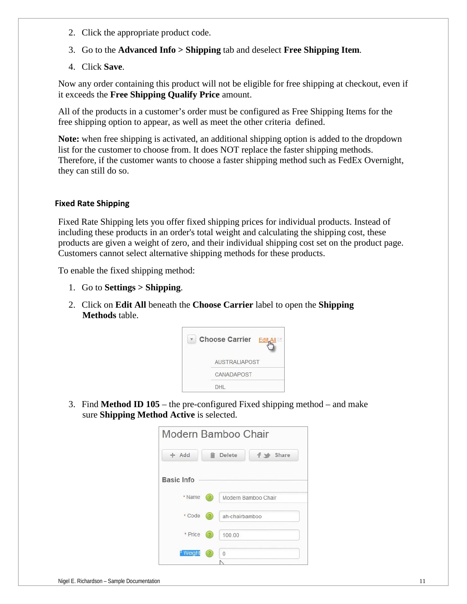- 2. Click the appropriate product code.
- 3. Go to the **Advanced Info > Shipping** tab and deselect **Free Shipping Item**.
- 4. Click **Save**.

Now any order containing this product will not be eligible for free shipping at checkout, even if it exceeds the **Free Shipping Qualify Price** amount.

All of the products in a customer's order must be configured as Free Shipping Items for the free shipping option to appear, as well as meet the other criteria defined.

**Note:** when free shipping is activated, an additional shipping option is added to the dropdown list for the customer to choose from. It does NOT replace the faster shipping methods. Therefore, if the customer wants to choose a faster shipping method such as FedEx Overnight, they can still do so.

# **Fixed Rate Shipping**

Fixed Rate Shipping lets you offer fixed shipping prices for individual products. Instead of including these products in an order's total weight and calculating the shipping cost, these products are given a weight of zero, and their individual shipping cost set on the product page. Customers cannot select alternative shipping methods for these products.

To enable the fixed shipping method:

- 1. Go to **Settings > Shipping**.
- 2. Click on **Edit All** beneath the **Choose Carrier** label to open the **Shipping Methods** table.



3. Find **Method ID 105** – the pre-configured Fixed shipping method – and make sure **Shipping Method Active** is selected.

| Modern Bamboo Chair |                   |                 |                     |  |
|---------------------|-------------------|-----------------|---------------------|--|
| $+Add$              |                   | <b>自</b> Delete | f share             |  |
| Basic Info          |                   |                 |                     |  |
| * Name              | $\sqrt{2}$        |                 | Modern Bamboo Chair |  |
| * Code              | (2)               | ah-chairbamboo  |                     |  |
| * Price             | $\left( 2\right)$ | 100.00          |                     |  |
| * Weight            |                   | $\theta$        |                     |  |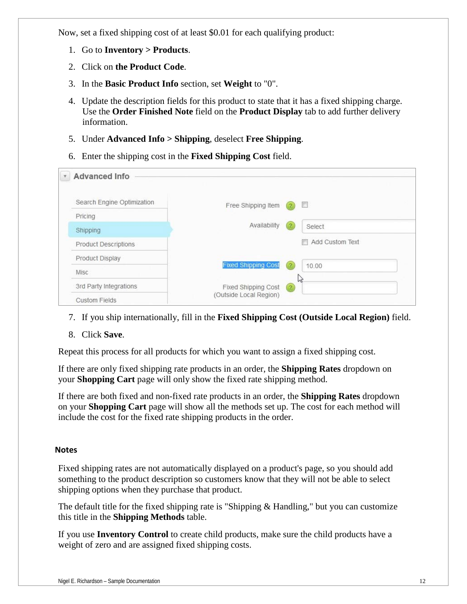Now, set a fixed shipping cost of at least \$0.01 for each qualifying product:

- 1. Go to **Inventory > Products**.
- 2. Click on **the Product Code**.
- 3. In the **Basic Product Info** section, set **Weight** to "0".
- 4. Update the description fields for this product to state that it has a fixed shipping charge. Use the **Order Finished Note** field on the **Product Display** tab to add further delivery information.
- 5. Under **Advanced Info > Shipping**, deselect **Free Shipping**.
- 6. Enter the shipping cost in the **Fixed Shipping Cost** field.

| <b>Advanced Info</b><br>v   |                            |                                             |
|-----------------------------|----------------------------|---------------------------------------------|
| Search Engine Optimization  | Free Shipping Item         | $\mathbb{R}^n$<br>(2)                       |
| Pricing                     |                            |                                             |
| Shipping                    | Availability               | (2)<br>Select                               |
| <b>Product Descriptions</b> |                            | Add Custom Text<br>$\overline{\phantom{a}}$ |
| Product Display             |                            |                                             |
| Misc                        | <b>Fixed Shipping Cost</b> | $\left( 2 \right)$<br>10.00                 |
| 3rd Party Integrations      | Fixed Shipping Cost        | h<br>(2)                                    |
| <b>Custom Fields</b>        | (Outside Local Region)     |                                             |

- 7. If you ship internationally, fill in the **Fixed Shipping Cost (Outside Local Region)** field.
- 8. Click **Save**.

Repeat this process for all products for which you want to assign a fixed shipping cost.

If there are only fixed shipping rate products in an order, the **Shipping Rates** dropdown on your **Shopping Cart** page will only show the fixed rate shipping method.

If there are both fixed and non-fixed rate products in an order, the **Shipping Rates** dropdown on your **Shopping Cart** page will show all the methods set up. The cost for each method will include the cost for the fixed rate shipping products in the order.

# **Notes**

Fixed shipping rates are not automatically displayed on a product's page, so you should add something to the product description so customers know that they will not be able to select shipping options when they purchase that product.

The default title for the fixed shipping rate is "Shipping & Handling," but you can customize this title in the **Shipping Methods** table.

If you use **Inventory Control** to create child products, make sure the child products have a weight of zero and are assigned fixed shipping costs.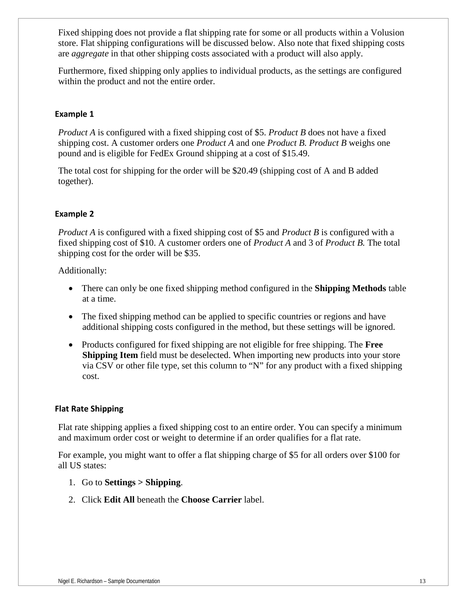Fixed shipping does not provide a flat shipping rate for some or all products within a Volusion store. Flat shipping configurations will be discussed below. Also note that fixed shipping costs are *aggregate* in that other shipping costs associated with a product will also apply.

Furthermore, fixed shipping only applies to individual products, as the settings are configured within the product and not the entire order.

# **Example 1**

*Product A* is configured with a fixed shipping cost of \$5. *Product B* does not have a fixed shipping cost. A customer orders one *Product A* and one *Product B. Product B* weighs one pound and is eligible for FedEx Ground shipping at a cost of \$15.49.

The total cost for shipping for the order will be \$20.49 (shipping cost of A and B added together).

# **Example 2**

*Product A* is configured with a fixed shipping cost of \$5 and *Product B* is configured with a fixed shipping cost of \$10. A customer orders one of *Product A* and 3 of *Product B.* The total shipping cost for the order will be \$35.

Additionally:

- There can only be one fixed shipping method configured in the **Shipping Methods** table at a time.
- The fixed shipping method can be applied to specific countries or regions and have additional shipping costs configured in the method, but these settings will be ignored.
- Products configured for fixed shipping are not eligible for free shipping. The **Free Shipping Item** field must be deselected. When importing new products into your store via CSV or other file type, set this column to "N" for any product with a fixed shipping cost.

# **Flat Rate Shipping**

Flat rate shipping applies a fixed shipping cost to an entire order. You can specify a minimum and maximum order cost or weight to determine if an order qualifies for a flat rate.

For example, you might want to offer a flat shipping charge of \$5 for all orders over \$100 for all US states:

- 1. Go to **Settings > Shipping**.
- 2. Click **Edit All** beneath the **Choose Carrier** label.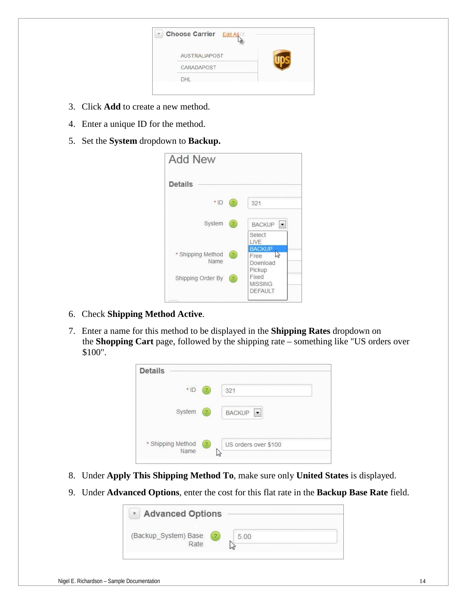| v | <b>Choose Carrier Edit All</b> |  |
|---|--------------------------------|--|
|   | AUSTRALIAPOST                  |  |
|   | CANADAPOST                     |  |
|   | DHL                            |  |

- 3. Click **Add** to create a new method.
- 4. Enter a unique ID for the method.
- 5. Set the **System** dropdown to **Backup.**

| <b>Add New</b>            |                |                                                  |
|---------------------------|----------------|--------------------------------------------------|
| <b>Details</b>            |                |                                                  |
| $*$ ID                    | 2              | 321                                              |
| System                    | 2              | <b>BACKUP</b><br>$\vert \cdot \vert$             |
|                           |                | Select<br>LIVE                                   |
| * Shipping Method<br>Name | 2              | <b>BACKUP</b><br>い<br>Free<br>Download<br>Pickup |
| Shipping Order By         | $\overline{2}$ | Fixed<br><b>MISSING</b><br><b>DEFAULT</b>        |

- 6. Check **Shipping Method Active**.
- 7. Enter a name for this method to be displayed in the **Shipping Rates** dropdown on the **Shopping Cart** page, followed by the shipping rate – something like "US orders over \$100".



- 8. Under **Apply This Shipping Method To**, make sure only **United States** is displayed.
- 9. Under **Advanced Options**, enter the cost for this flat rate in the **Backup Base Rate** field.

| <b>Advanced Options</b><br>$\mathbf{v}$ |  |
|-----------------------------------------|--|
| (Backup_System) Base<br>Rate.           |  |
|                                         |  |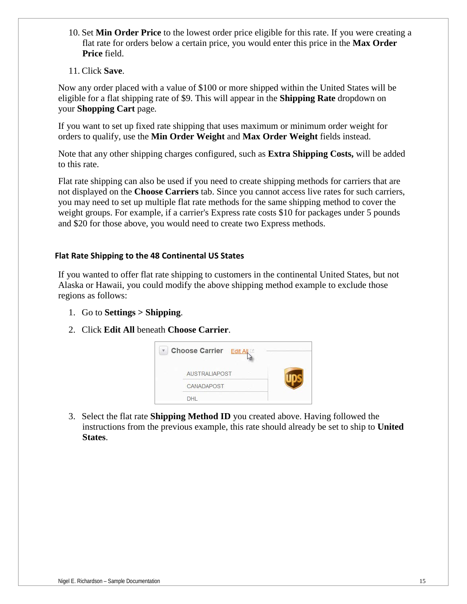- 10. Set **Min Order Price** to the lowest order price eligible for this rate. If you were creating a flat rate for orders below a certain price, you would enter this price in the **Max Order Price** field.
- 11. Click **Save**.

Now any order placed with a value of \$100 or more shipped within the United States will be eligible for a flat shipping rate of \$9. This will appear in the **Shipping Rate** dropdown on your **Shopping Cart** page*.*

If you want to set up fixed rate shipping that uses maximum or minimum order weight for orders to qualify, use the **Min Order Weight** and **Max Order Weight** fields instead.

Note that any other shipping charges configured, such as **Extra Shipping Costs,** will be added to this rate.

Flat rate shipping can also be used if you need to create shipping methods for carriers that are not displayed on the **Choose Carriers** tab. Since you cannot access live rates for such carriers, you may need to set up multiple flat rate methods for the same shipping method to cover the weight groups. For example, if a carrier's Express rate costs \$10 for packages under 5 pounds and \$20 for those above, you would need to create two Express methods.

# **Flat Rate Shipping to the 48 Continental US States**

If you wanted to offer flat rate shipping to customers in the continental United States, but not Alaska or Hawaii, you could modify the above shipping method example to exclude those regions as follows:

- 1. Go to **Settings > Shipping**.
- 2. Click **Edit All** beneath **Choose Carrier**.



3. Select the flat rate **Shipping Method ID** you created above. Having followed the instructions from the previous example, this rate should already be set to ship to **United States**.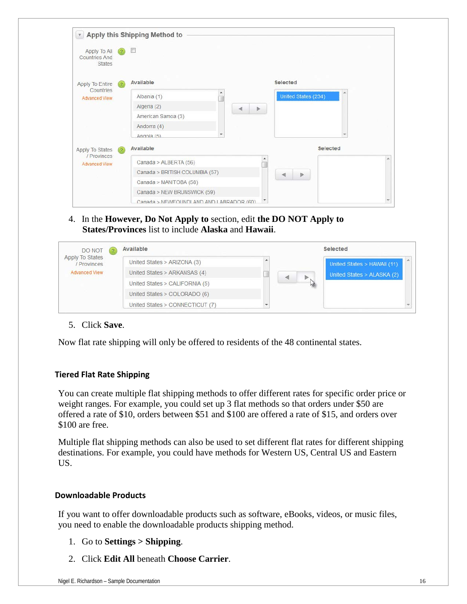| Apply To All<br><b>Countries And</b><br><b>States</b> | $\mathbf{z}$ | $\Box$                                  |                       |  |
|-------------------------------------------------------|--------------|-----------------------------------------|-----------------------|--|
| Apply To Entire<br>Countries                          | (2)          | Available                               | <b>Selected</b>       |  |
| <b>Advanced View</b>                                  |              | Albania (1)                             | United States (234)   |  |
|                                                       |              | Algeria (2)                             | Þ.                    |  |
|                                                       |              | American Samoa (3)                      |                       |  |
|                                                       |              | Andorra (4)                             |                       |  |
|                                                       |              | ٠<br>Angola $(5)$                       |                       |  |
| Apply To States                                       | (2)          | Available                               | <b>Selected</b>       |  |
| / Provinces<br><b>Advanced View</b>                   |              | Canada > ALBERTA (56)                   | ۸                     |  |
|                                                       |              | Canada > BRITISH COLUMBIA (57)          | $\triangleright$<br>∢ |  |
|                                                       |              | Canada > MANITOBA (58)                  |                       |  |
|                                                       |              | Canada > NEW BRUNSWICK (59)             |                       |  |
|                                                       |              | Canada > NEWEOUNDLAND AND LABRADOR (60) |                       |  |

4. In the **However, Do Not Apply to** section, edit **the DO NOT Apply to States/Provinces** list to include **Alaska** and **Hawaii**.

| DO NOT                         | $\mathbf{R}$ | Available                       |   | Selected                    |
|--------------------------------|--------------|---------------------------------|---|-----------------------------|
| Apply To States<br>/ Provinces |              | United States > ARIZONA (3)     |   | United States > HAWAII (11) |
| <b>Advanced View</b>           |              | United States > ARKANSAS (4)    | ◀ | United States > ALASKA (2)  |
|                                |              | United States > CALIFORNIA (5)  |   |                             |
|                                |              | United States > COLORADO (6)    |   |                             |
|                                |              | United States > CONNECTICUT (7) |   |                             |

# 5. Click **Save**.

Now flat rate shipping will only be offered to residents of the 48 continental states.

# **Tiered Flat Rate Shipping**

You can create multiple flat shipping methods to offer different rates for specific order price or weight ranges. For example, you could set up 3 flat methods so that orders under \$50 are offered a rate of \$10, orders between \$51 and \$100 are offered a rate of \$15, and orders over \$100 are free.

Multiple flat shipping methods can also be used to set different flat rates for different shipping destinations. For example, you could have methods for Western US, Central US and Eastern US.

# **Downloadable Products**

If you want to offer downloadable products such as software, eBooks, videos, or music files, you need to enable the downloadable products shipping method.

- 1. Go to **Settings > Shipping**.
- 2. Click **Edit All** beneath **Choose Carrier**.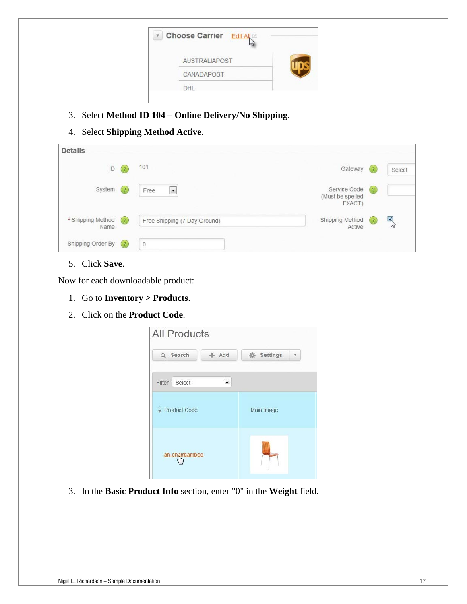| $\mathbf{v}$ | Choose Carrier Edit All |  |
|--------------|-------------------------|--|
|              | <b>AUSTRALIAPOST</b>    |  |
|              | CANADAPOST              |  |
|              | <b>DHL</b>              |  |

- 3. Select **Method ID 104 – Online Delivery/No Shipping**.
- 4. Select **Shipping Method Active**.

| <b>Details</b>            |          |                              |                                            |                   |         |
|---------------------------|----------|------------------------------|--------------------------------------------|-------------------|---------|
| $\mathsf{ID}$             | $^{(2)}$ | 101                          | Gateway                                    | $\left( 2\right)$ | Select  |
| System                    | $^{(2)}$ | $\blacksquare$<br>Free       | Service Code<br>(Must be spelled<br>EXACT) | (2)               |         |
| * Shipping Method<br>Name | (2)      | Free Shipping (7 Day Ground) | Shipping Method<br>Active                  | $\left( 2\right)$ | K.<br>W |
| Shipping Order By         | (2)      | $\theta$                     |                                            |                   |         |

5. Click **Save**.

Now for each downloadable product:

- 1. Go to **Inventory > Products**.
- 2. Click on the **Product Code**.



3. In the **Basic Product Info** section, enter "0" in the **Weight** field.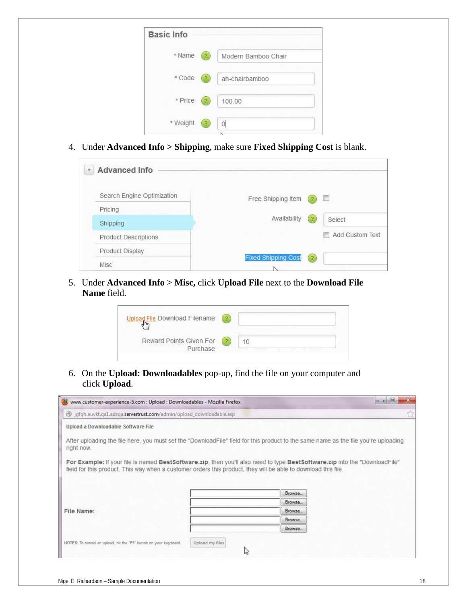| Modern Bamboo Chair |
|---------------------|
| ah-chairbamboo      |
| 100.00              |
|                     |
|                     |

4. Under **Advanced Info > Shipping**, make sure **Fixed Shipping Cost** is blank.

| <b>Advanced Info</b><br>$\overline{\mathbf{v}}$ |                                       |
|-------------------------------------------------|---------------------------------------|
| Search Engine Optimization                      | Free Shipping Item<br><b>FT</b><br>-2 |
| Pricing                                         |                                       |
| Shipping                                        | Availability<br>2<br>Select           |
| Product Descriptions                            | Add Custom Text<br>П                  |
| Product Display                                 |                                       |
| Misc                                            | <b>Fixed Shipping Cost</b><br>(2)     |

5. Under **Advanced Info > Misc,** click **Upload File** next to the **Download File Name** field.

| Upload File Download Filename       |                |  |
|-------------------------------------|----------------|--|
| Reward Points Given For<br>Purchase | $\overline{2}$ |  |

6. On the **Upload: Downloadables** pop-up, find the file on your computer and click **Upload**.

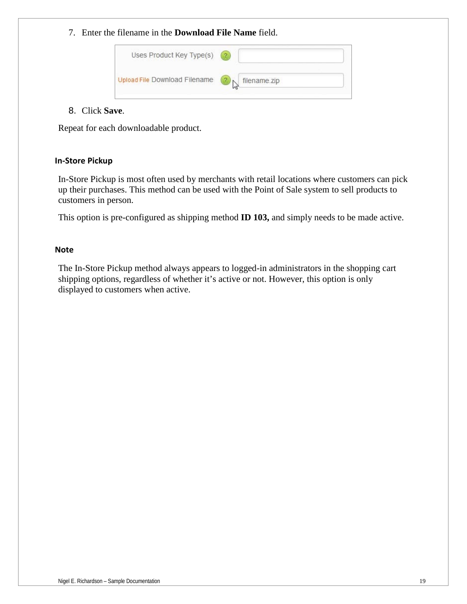7. Enter the filename in the **Download File Name** field.

| Uses Product Key Type(s)<br>사용자 사람은 일부분을 만들고 한 번째 가장을 가지고 있는 것이었다. | $\overline{2}$ |
|--------------------------------------------------------------------|----------------|
| Upload File Download Filename                                      | filename.zip   |

# 8. Click **Save**.

Repeat for each downloadable product.

# **In-Store Pickup**

In-Store Pickup is most often used by merchants with retail locations where customers can pick up their purchases. This method can be used with the Point of Sale system to sell products to customers in person.

This option is pre-configured as shipping method **ID 103,** and simply needs to be made active.

# **Note**

The In-Store Pickup method always appears to logged-in administrators in the shopping cart shipping options, regardless of whether it's active or not. However, this option is only displayed to customers when active.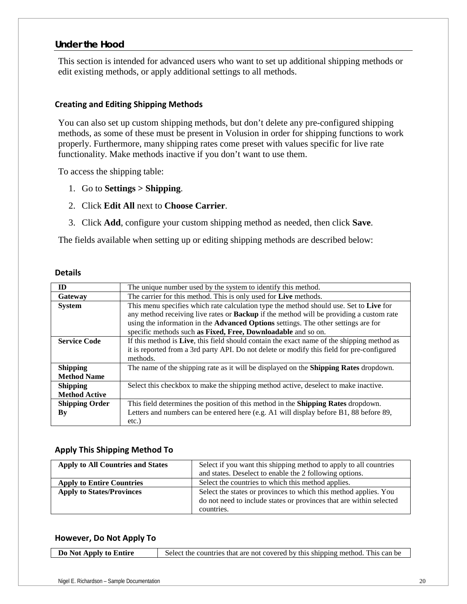# *Under the Hood*

This section is intended for advanced users who want to set up additional shipping methods or edit existing methods, or apply additional settings to all methods.

#### **Creating and Editing Shipping Methods**

You can also set up custom shipping methods, but don't delete any pre-configured shipping methods, as some of these must be present in Volusion in order for shipping functions to work properly. Furthermore, many shipping rates come preset with values specific for live rate functionality. Make methods inactive if you don't want to use them.

To access the shipping table:

- 1. Go to **Settings > Shipping**.
- 2. Click **Edit All** next to **Choose Carrier**.
- 3. Click **Add**, configure your custom shipping method as needed, then click **Save**.

The fields available when setting up or editing shipping methods are described below:

#### **Details**

| ID                     | The unique number used by the system to identify this method.                                  |
|------------------------|------------------------------------------------------------------------------------------------|
| Gateway                | The carrier for this method. This is only used for Live methods.                               |
| <b>System</b>          | This menu specifies which rate calculation type the method should use. Set to Live for         |
|                        | any method receiving live rates or <b>Backup</b> if the method will be providing a custom rate |
|                        | using the information in the Advanced Options settings. The other settings are for             |
|                        | specific methods such as Fixed, Free, Downloadable and so on.                                  |
| <b>Service Code</b>    | If this method is Live, this field should contain the exact name of the shipping method as     |
|                        | it is reported from a 3rd party API. Do not delete or modify this field for pre-configured     |
|                        | methods.                                                                                       |
| <b>Shipping</b>        | The name of the shipping rate as it will be displayed on the <b>Shipping Rates</b> dropdown.   |
| <b>Method Name</b>     |                                                                                                |
| <b>Shipping</b>        | Select this checkbox to make the shipping method active, deselect to make inactive.            |
| <b>Method Active</b>   |                                                                                                |
| <b>Shipping Order</b>  | This field determines the position of this method in the <b>Shipping Rates</b> dropdown.       |
| $\mathbf{B}\mathbf{v}$ | Letters and numbers can be entered here (e.g. A1 will display before B1, 88 before 89,         |
|                        | etc.)                                                                                          |

# **Apply This Shipping Method To**

| <b>Apply to All Countries and States</b> | Select if you want this shipping method to apply to all countries   |
|------------------------------------------|---------------------------------------------------------------------|
|                                          | and states. Deselect to enable the 2 following options.             |
| <b>Apply to Entire Countries</b>         | Select the countries to which this method applies.                  |
| <b>Apply to States/Provinces</b>         | Select the states or provinces to which this method applies. You    |
|                                          | do not need to include states or provinces that are within selected |
|                                          | countries.                                                          |

#### **However, Do Not Apply To**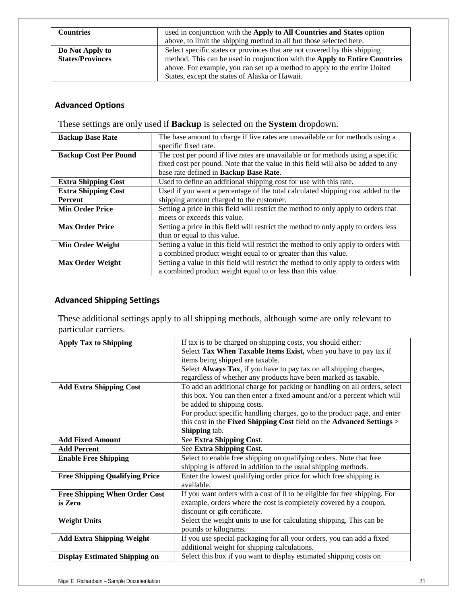| <b>Countries</b>                           | used in conjunction with the Apply to All Countries and States option<br>above, to limit the shipping method to all but those selected here.                                                                                                                                           |
|--------------------------------------------|----------------------------------------------------------------------------------------------------------------------------------------------------------------------------------------------------------------------------------------------------------------------------------------|
| Do Not Apply to<br><b>States/Provinces</b> | Select specific states or provinces that are not covered by this shipping<br>method. This can be used in conjunction with the Apply to Entire Countries<br>above. For example, you can set up a method to apply to the entire United<br>States, except the states of Alaska or Hawaii. |

# **Advanced Options**

These settings are only used if **Backup** is selected on the **System** dropdown.

| <b>Backup Base Rate</b>      | The base amount to charge if live rates are unavailable or for methods using a      |
|------------------------------|-------------------------------------------------------------------------------------|
|                              | specific fixed rate.                                                                |
| <b>Backup Cost Per Pound</b> | The cost per pound if live rates are unavailable or for methods using a specific    |
|                              | fixed cost per pound. Note that the value in this field will also be added to any   |
|                              | base rate defined in Backup Base Rate.                                              |
| <b>Extra Shipping Cost</b>   | Used to define an additional shipping cost for use with this rate.                  |
| <b>Extra Shipping Cost</b>   | Used if you want a percentage of the total calculated shipping cost added to the    |
| Percent                      | shipping amount charged to the customer.                                            |
| <b>Min Order Price</b>       | Setting a price in this field will restrict the method to only apply to orders that |
|                              | meets or exceeds this value.                                                        |
| <b>Max Order Price</b>       | Setting a price in this field will restrict the method to only apply to orders less |
|                              | than or equal to this value.                                                        |
| <b>Min Order Weight</b>      | Setting a value in this field will restrict the method to only apply to orders with |
|                              | a combined product weight equal to or greater than this value.                      |
| <b>Max Order Weight</b>      | Setting a value in this field will restrict the method to only apply to orders with |
|                              | a combined product weight equal to or less than this value.                         |

# **Advanced Shipping Settings**

These additional settings apply to all shipping methods, although some are only relevant to particular carriers.

| <b>Apply Tax to Shipping</b>          | If tax is to be charged on shipping costs, you should either:             |
|---------------------------------------|---------------------------------------------------------------------------|
|                                       | Select Tax When Taxable Items Exist, when you have to pay tax if          |
|                                       | items being shipped are taxable.                                          |
|                                       | Select Always Tax, if you have to pay tax on all shipping charges,        |
|                                       | regardless of whether any products have been marked as taxable.           |
| <b>Add Extra Shipping Cost</b>        | To add an additional charge for packing or handling on all orders, select |
|                                       | this box. You can then enter a fixed amount and/or a percent which will   |
|                                       | be added to shipping costs.                                               |
|                                       | For product specific handling charges, go to the product page, and enter  |
|                                       | this cost in the Fixed Shipping Cost field on the Advanced Settings >     |
|                                       | Shipping tab.                                                             |
| <b>Add Fixed Amount</b>               | See Extra Shipping Cost.                                                  |
| <b>Add Percent</b>                    | See Extra Shipping Cost.                                                  |
| <b>Enable Free Shipping</b>           | Select to enable free shipping on qualifying orders. Note that free       |
|                                       | shipping is offered in addition to the usual shipping methods.            |
| <b>Free Shipping Qualifying Price</b> | Enter the lowest qualifying order price for which free shipping is        |
|                                       | available.                                                                |
| <b>Free Shipping When Order Cost</b>  | If you want orders with a cost of 0 to be eligible for free shipping. For |
| is Zero                               | example, orders where the cost is completely covered by a coupon,         |
|                                       | discount or gift certificate.                                             |
| <b>Weight Units</b>                   | Select the weight units to use for calculating shipping. This can be      |
|                                       | pounds or kilograms.                                                      |
| <b>Add Extra Shipping Weight</b>      | If you use special packaging for all your orders, you can add a fixed     |
|                                       | additional weight for shipping calculations.                              |
| <b>Display Estimated Shipping on</b>  | Select this box if you want to display estimated shipping costs on        |
|                                       |                                                                           |